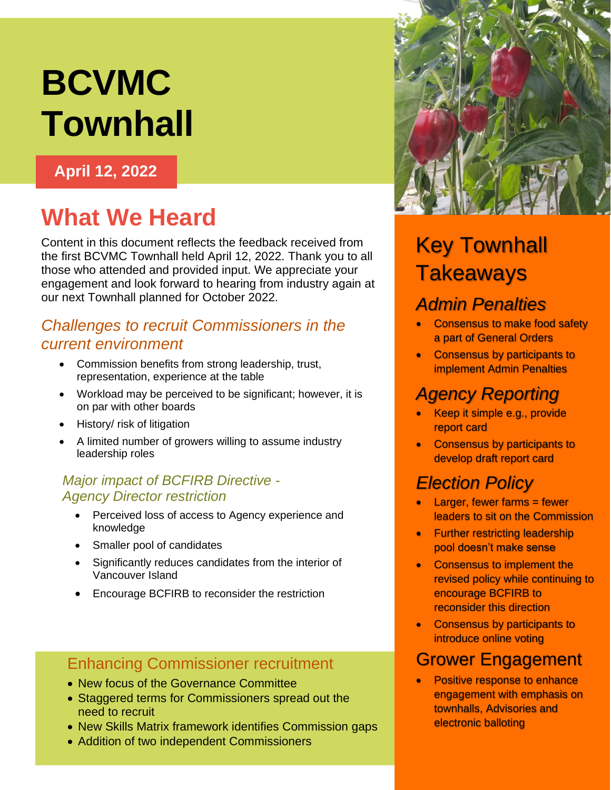# **BCVMC Townhall**

### **April 12, 2022**

# **What We Heard**

Content in this document reflects the feedback received from the first BCVMC Townhall held April 12, 2022. Thank you to all those who attended and provided input. We appreciate your engagement and look forward to hearing from industry again at our next Townhall planned for October 2022.

### *Challenges to recruit Commissioners in the current environment*

- Commission benefits from strong leadership, trust, representation, experience at the table
- Workload may be perceived to be significant; however, it is on par with other boards
- History/ risk of litigation
- A limited number of growers willing to assume industry leadership roles

#### *Major impact of BCFIRB Directive - Agency Director restriction*

- Perceived loss of access to Agency experience and knowledge
- Smaller pool of candidates
- Significantly reduces candidates from the interior of Vancouver Island
- Encourage BCFIRB to reconsider the restriction

### Enhancing Commissioner recruitment

- New focus of the Governance Committee
- Staggered terms for Commissioners spread out the need to recruit
- New Skills Matrix framework identifies Commission gaps
- Addition of two independent Commissioners



# **Key Townhall Takeaways**

### *Admin Penalties*

- Consensus to make food safety a part of General Orders
- Consensus by participants to implement Admin Penalties

### *Agency Reporting*

- Keep it simple e.g., provide report card
- Consensus by participants to develop draft report card

### *Election Policy*

- Larger, fewer farms  $=$  fewer leaders to sit on the Commission
- Further restricting leadership pool doesn't make sense
- Consensus to implement the revised policy while continuing to encourage BCFIRB to reconsider this direction
- Consensus by participants to introduce online voting

### Grower Engagement

• Positive response to enhance engagement with emphasis on townhalls, Advisories and electronic balloting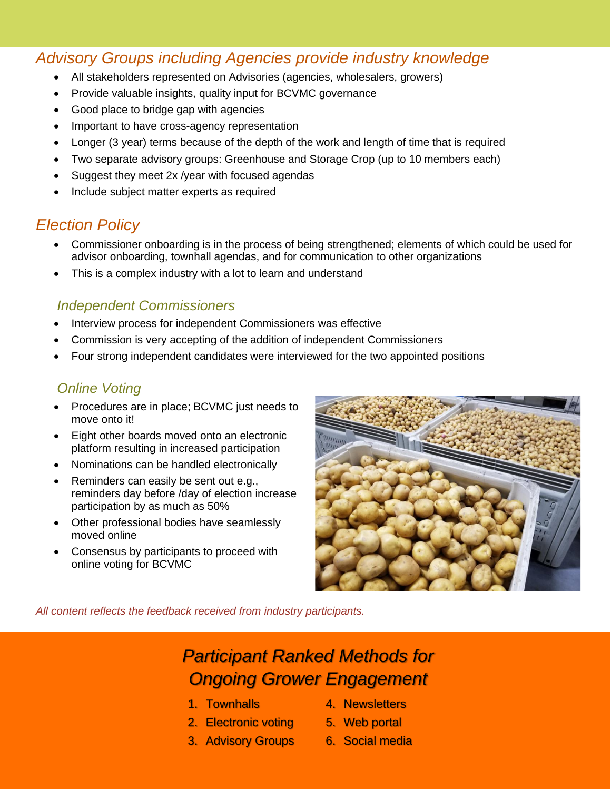### *Advisory Groups including Agencies provide industry knowledge*

- All stakeholders represented on Advisories (agencies, wholesalers, growers)
- Provide valuable insights, quality input for BCVMC governance
- Good place to bridge gap with agencies
- Important to have cross-agency representation
- Longer (3 year) terms because of the depth of the work and length of time that is required
- Two separate advisory groups: Greenhouse and Storage Crop (up to 10 members each)
- Suggest they meet 2x /year with focused agendas
- Include subject matter experts as required

### *Election Policy*

- Commissioner onboarding is in the process of being strengthened; elements of which could be used for advisor onboarding, townhall agendas, and for communication to other organizations
- This is a complex industry with a lot to learn and understand

#### *Independent Commissioners*

- Interview process for independent Commissioners was effective
- Commission is very accepting of the addition of independent Commissioners
- Four strong independent candidates were interviewed for the two appointed positions

#### *Online Voting*

- Procedures are in place; BCVMC just needs to move onto it!
- Eight other boards moved onto an electronic platform resulting in increased participation
- Nominations can be handled electronically
- Reminders can easily be sent out e.g., reminders day before /day of election increase participation by as much as 50%
- Other professional bodies have seamlessly moved online
- Consensus by participants to proceed with online voting for BCVMC



*All content reflects the feedback received from industry participants.*

### *Participant Ranked Methods for Ongoing Grower Engagement*

- 1. Townhalls
- 2. Electronic voting
- 3. Advisory Groups 6. Social media
- 4. Newsletters
- 5. Web portal
	-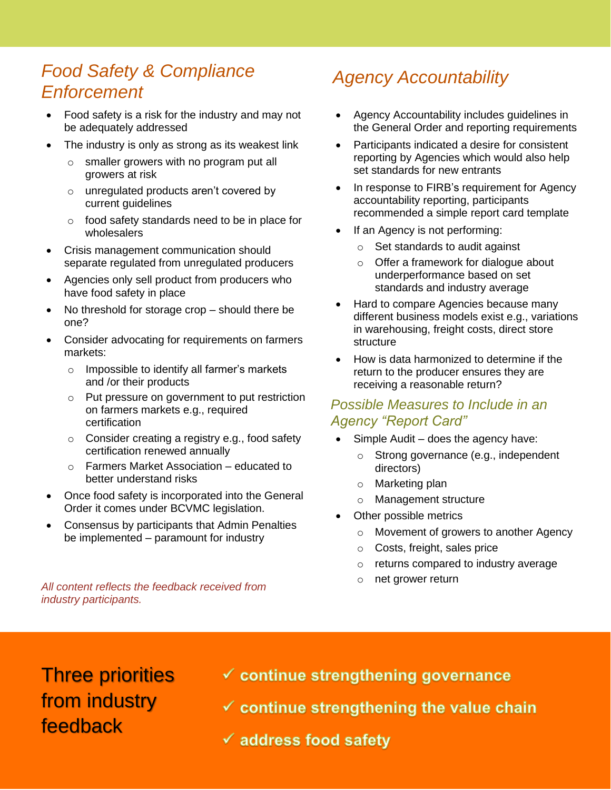### *Food Safety & Compliance Enforcement*

- Food safety is a risk for the industry and may not be adequately addressed
- The industry is only as strong as its weakest link
	- o smaller growers with no program put all growers at risk
	- o unregulated products aren't covered by current guidelines
	- o food safety standards need to be in place for wholesalers
- Crisis management communication should separate regulated from unregulated producers
- Agencies only sell product from producers who have food safety in place
- No threshold for storage crop should there be one?
- Consider advocating for requirements on farmers markets:
	- o Impossible to identify all farmer's markets and /or their products
	- o Put pressure on government to put restriction on farmers markets e.g., required certification
	- o Consider creating a registry e.g., food safety certification renewed annually
	- o Farmers Market Association educated to better understand risks
- Once food safety is incorporated into the General Order it comes under BCVMC legislation.
- Consensus by participants that Admin Penalties be implemented – paramount for industry

*All content reflects the feedback received from industry participants.*

### *Agency Accountability*

- Agency Accountability includes guidelines in the General Order and reporting requirements
- Participants indicated a desire for consistent reporting by Agencies which would also help set standards for new entrants
- In response to FIRB's requirement for Agency accountability reporting, participants recommended a simple report card template
- If an Agency is not performing:
	- o Set standards to audit against
	- o Offer a framework for dialogue about underperformance based on set standards and industry average
- Hard to compare Agencies because many different business models exist e.g., variations in warehousing, freight costs, direct store structure
- How is data harmonized to determine if the return to the producer ensures they are receiving a reasonable return?

#### *Possible Measures to Include in an Agency "Report Card"*

- Simple Audit does the agency have:
	- o Strong governance (e.g., independent directors)
	- o Marketing plan
	- o Management structure
- Other possible metrics
	- o Movement of growers to another Agency
	- o Costs, freight, sales price
	- o returns compared to industry average
	- o net grower return

Three priorities from industry feedback

- $\checkmark$  continue strengthening governance
- $\checkmark$  continue strengthening the value chain
- $\checkmark$  address food safety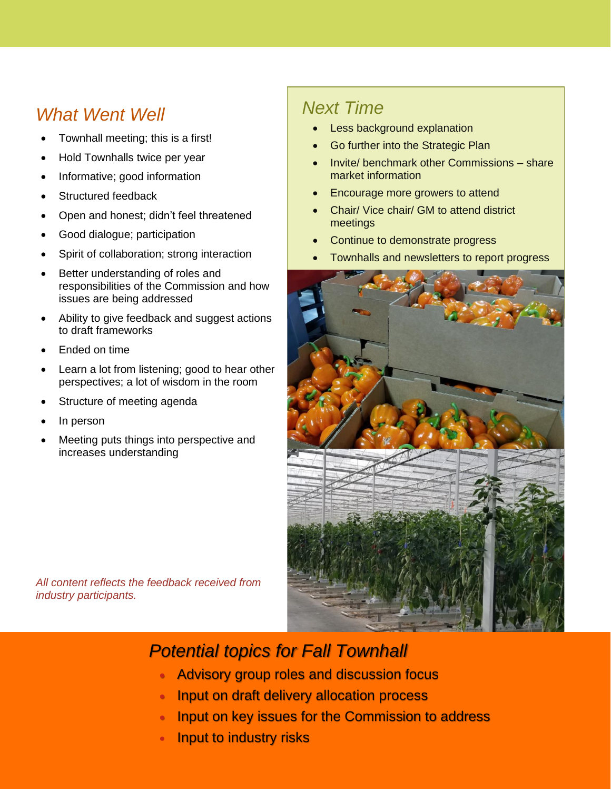### *What Went Well*

- Townhall meeting; this is a first!
- Hold Townhalls twice per year
- Informative; good information
- Structured feedback
- Open and honest; didn't feel threatened
- Good dialogue; participation
- Spirit of collaboration; strong interaction
- Better understanding of roles and responsibilities of the Commission and how issues are being addressed
- Ability to give feedback and suggest actions to draft frameworks
- Ended on time
- Learn a lot from listening; good to hear other perspectives; a lot of wisdom in the room
- Structure of meeting agenda
- In person

*industry participants.*

• Meeting puts things into perspective and increases understanding

*All content reflects the feedback received from* 

*Next Time*

- Less background explanation
- Go further into the Strategic Plan
- Invite/ benchmark other Commissions share market information
- Encourage more growers to attend
- Chair/ Vice chair/ GM to attend district meetings
- Continue to demonstrate progress
- Townhalls and newsletters to report progress



## *Potential topics for Fall Townhall*

- Advisory group roles and discussion focus
- Input on draft delivery allocation process
- Input on key issues for the Commission to address
- Input to industry risks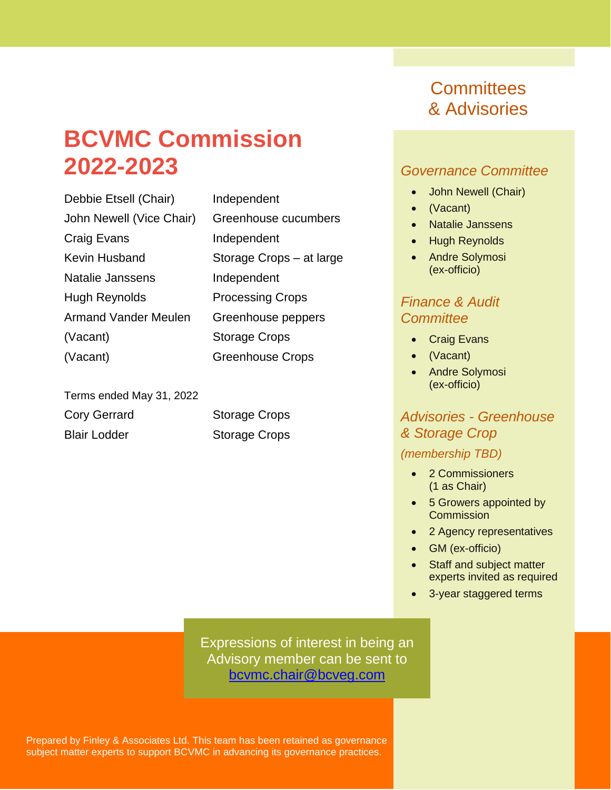# **BCVMC Commission 2022-2023**

Debbie Etsell (Chair) lndependent John Newell (Vice Chair) Greenhouse cucumbers Craig Evans **Independent** Kevin Husband Storage Crops – at large Natalie Janssens **Independent** Hugh Reynolds Processing Crops Armand Vander Meulen Greenhouse peppers (Vacant) Storage Crops (Vacant) Greenhouse Crops

Terms ended May 31, 2022 Cory Gerrard Storage Crops Blair Lodder Storage Crops

### **Committees** & Advisories

#### *Governance Committee*

- John Newell (Chair)
- (Vacant)
- Natalie Janssens
- Hugh Reynolds
- Andre Solymosi (ex-officio)

#### *Finance & Audit Committee*

- Craig Evans
- (Vacant)
- Andre Solymosi (ex-officio)

#### *Advisories - Greenhouse & Storage Crop*

*(membership TBD)*

- 2 Commissioners (1 as Chair)
- 5 Growers appointed by **Commission**
- 2 Agency representatives
- GM (ex-officio)
- Staff and subject matter experts invited as required
- 3-year staggered terms

Expressions of interest in being an Advisory member can be sent to [bcvmc.chair@bcveg.com](mailto:bcvmc.chair@bcveg.com?subject=BCVMC:%20Feedback%20on%20What%20We%20Heard%20Discussion)

Prepared by Finley & Associates Ltd. This team has been retained as governance subject matter experts to support BCVMC in advancing its governance practices.